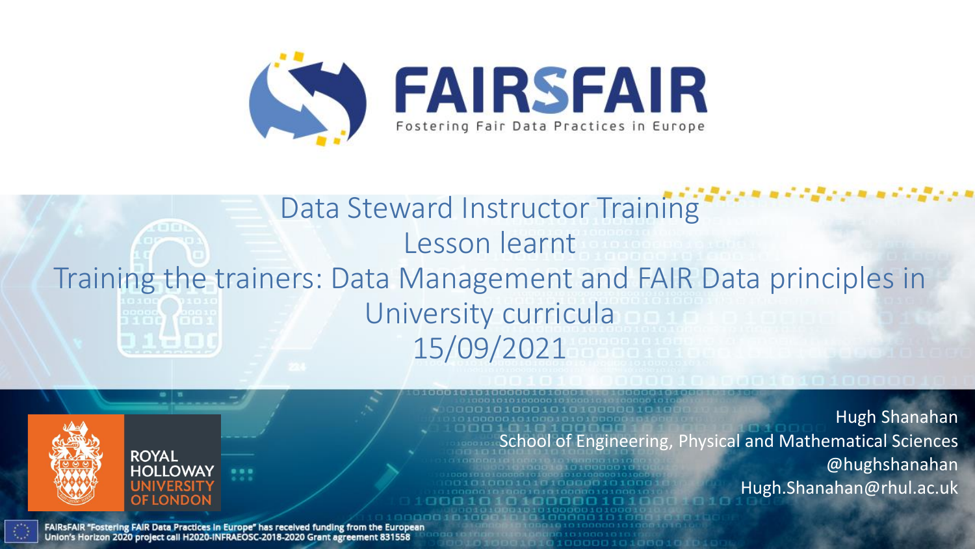

### Data Steward Instructor Training Lesson learnt Training the trainers: Data Management and FAIR Data principles in University curricula 15/09/2021



FAIRSFAIR "Fostering FAIR Data Practices in Europe" has received funding from the European Union's Horizon 2020 project call H2020-INFRAEOSC-2018-2020 Grant agreement 831558

Hugh Shanahan School of Engineering, Physical and Mathematical Sciences @hughshanahan Hugh.Shanahan@rhul.ac.uk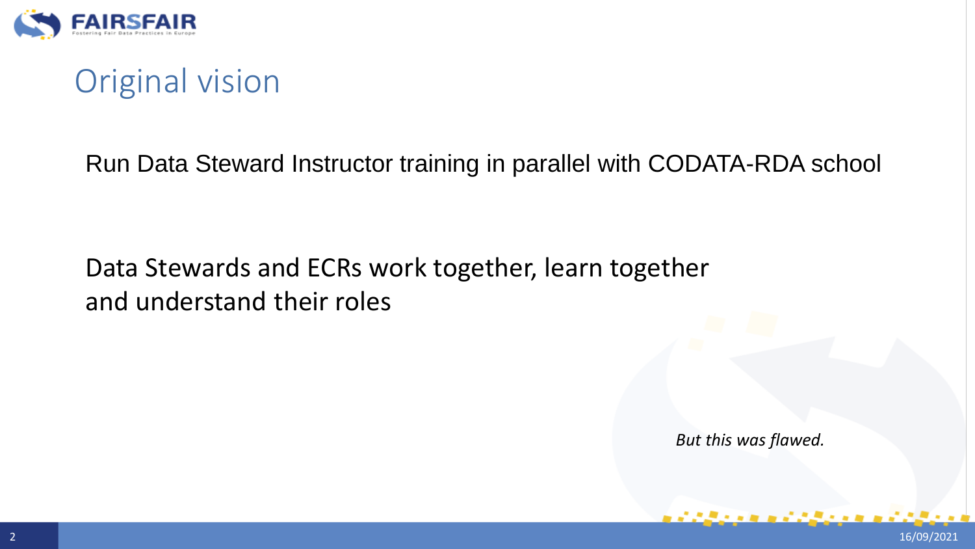

## Original vision

Run Data Steward Instructor training in parallel with CODATA-RDA school

#### Data Stewards and ECRs work together, learn together and understand their roles

*But this was flawed.*

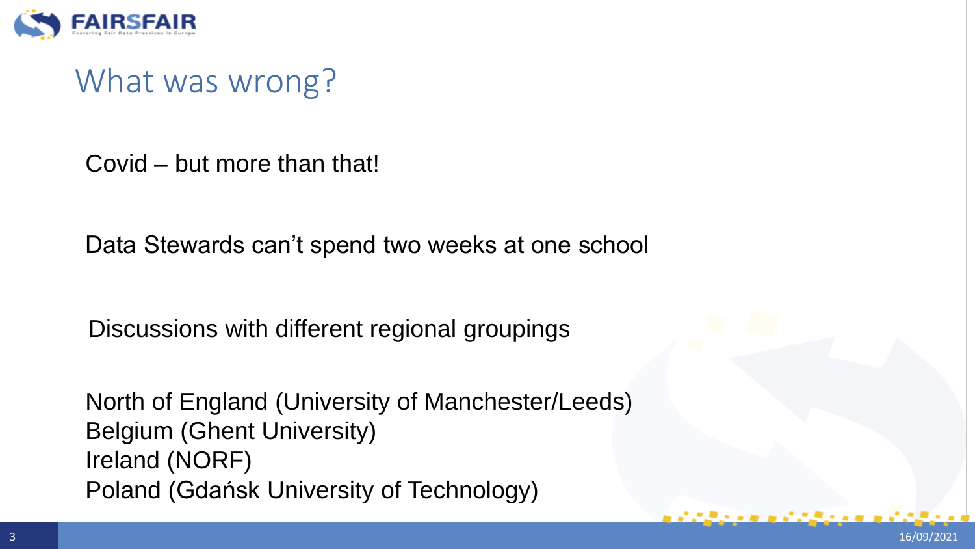

What was wrong?

Covid – but more than that!

Data Stewards can't spend two weeks at one school

Discussions with different regional groupings

North of England (University of Manchester/Leeds) Belgium (Ghent University) Ireland (NORF) Poland (Gdańsk University of Technology)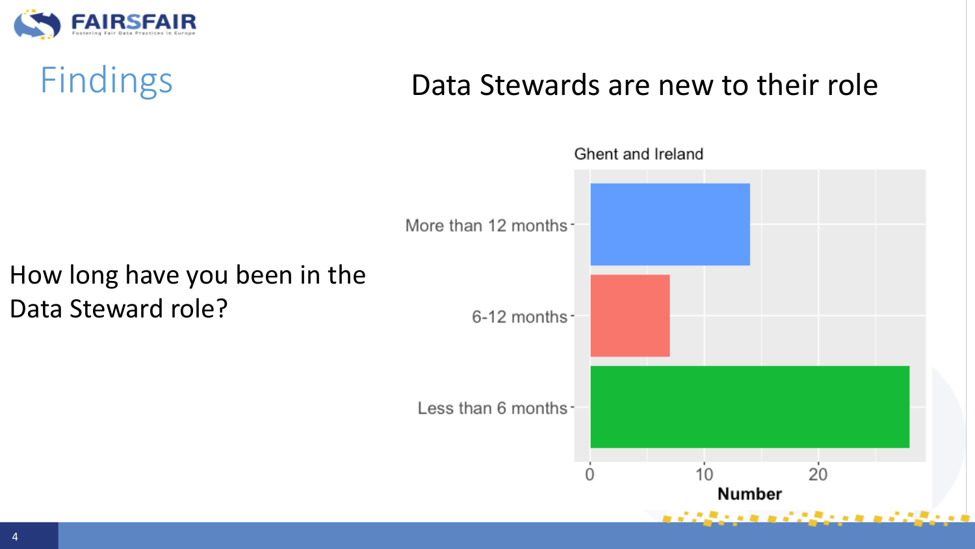

# Findings **Data Stewards are new to their role**

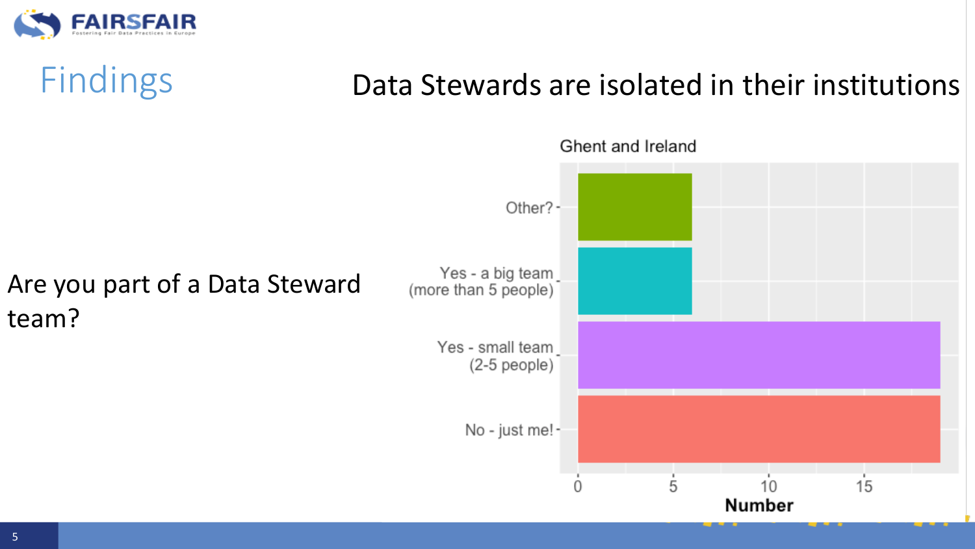

# Findings Data Stewards are isolated in their institutions

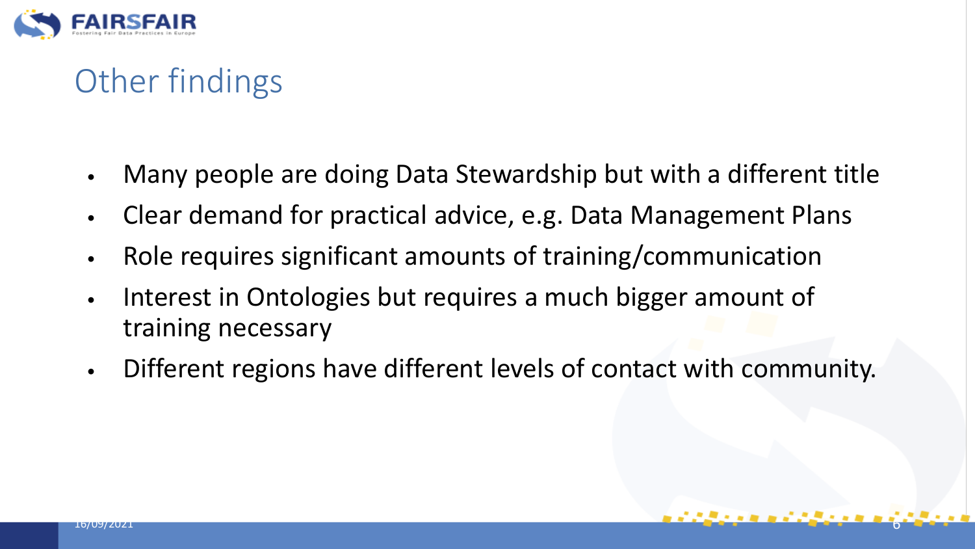

# Other findings

- Many people are doing Data Stewardship but with a different title
- Clear demand for practical advice, e.g. Data Management Plans
- Role requires significant amounts of training/communication
- Interest in Ontologies but requires a much bigger amount of training necessary
- Different regions have different levels of contact with community.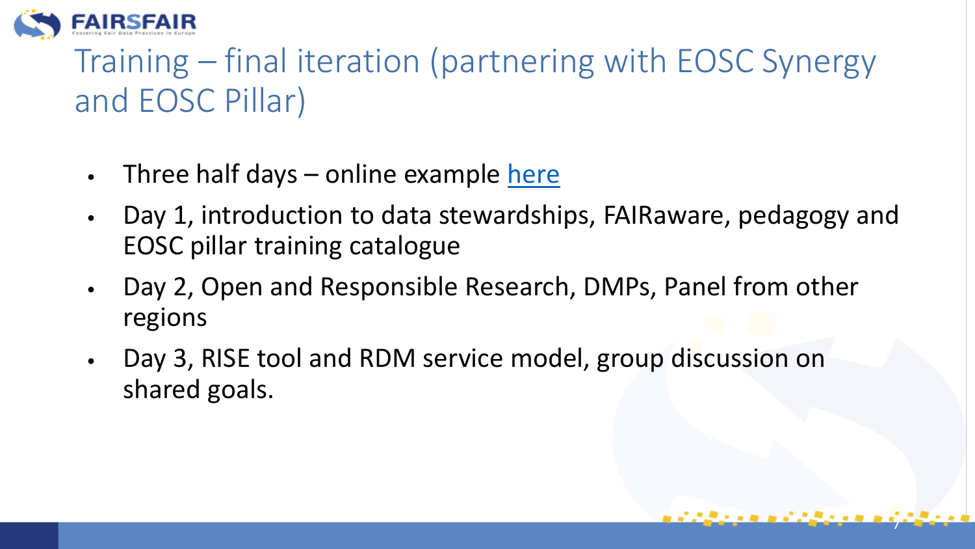

# Training – final iteration (partnering with EOSC Synergy and EOSC Pillar)

- Three half days  $-$  online example [here](https://fairdataforum.org/t/programme-of-events/443)
- Day 1, introduction to data stewardships, FAIRaware, pedagogy and EOSC pillar training catalogue

7

- Day 2, Open and Responsible Research, DMPs, Panel from other regions
- Day 3, RISE tool and RDM service model, group discussion on shared goals.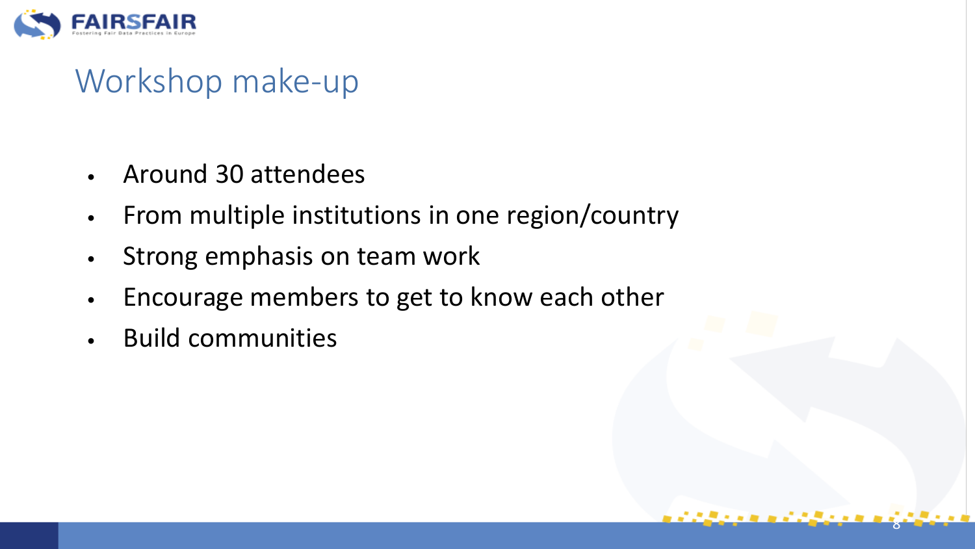

# Workshop make-up

- Around 30 attendees
- From multiple institutions in one region/country
- Strong emphasis on team work
- Encourage members to get to know each other

8

• Build communities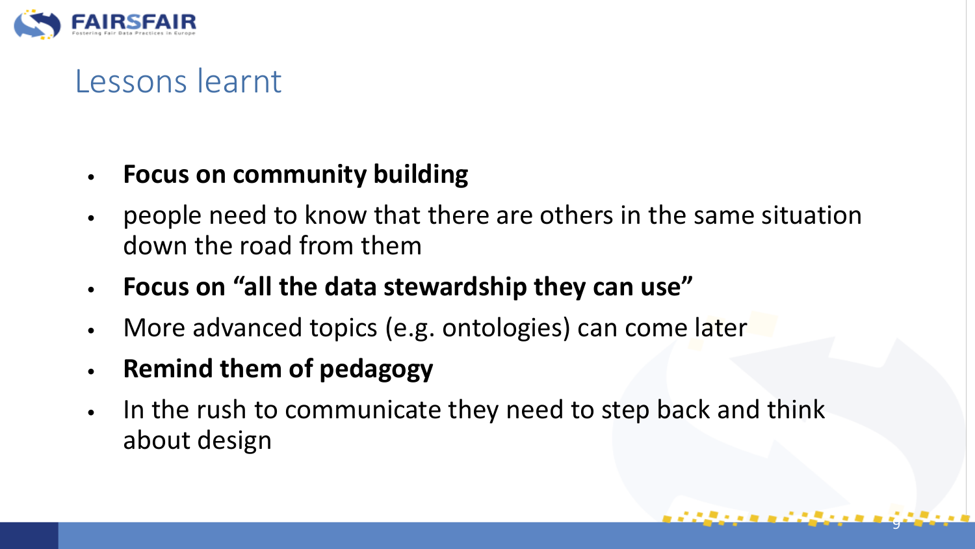

## Lessons learnt

#### • **Focus on community building**

- people need to know that there are others in the same situation down the road from them
- **Focus on "all the data stewardship they can use"**
- More advanced topics (e.g. ontologies) can come later
- **Remind them of pedagogy**
- In the rush to communicate they need to step back and think about design

9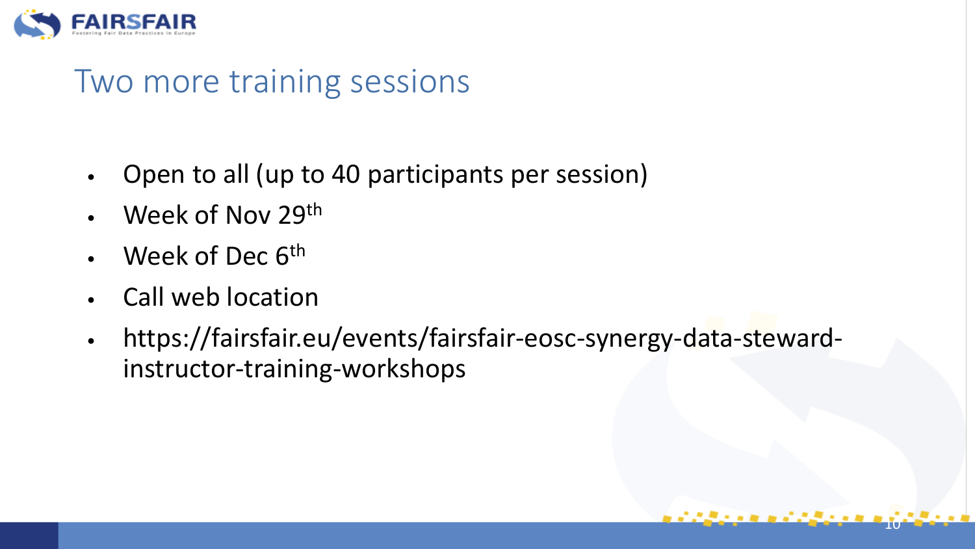

### Two more training sessions

- Open to all (up to 40 participants per session)
- Week of Nov 29<sup>th</sup>
- Week of Dec 6<sup>th</sup>
- Call web location
- https://fairsfair.eu/events/fairsfair-eosc-synergy-data-stewardinstructor-training-workshops